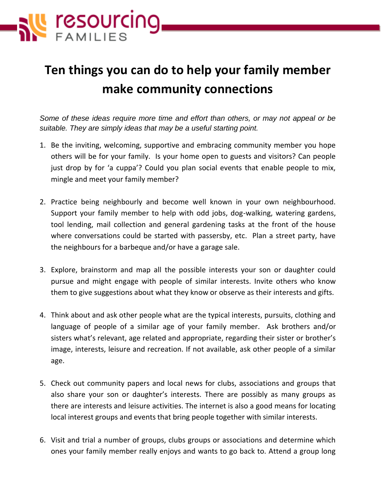

## **Ten things you can do to help your family member make community connections**

*Some of these ideas require more time and effort than others, or may not appeal or be suitable. They are simply ideas that may be a useful starting point.* 

- 1. Be the inviting, welcoming, supportive and embracing community member you hope others will be for your family. Is your home open to guests and visitors? Can people just drop by for 'a cuppa'? Could you plan social events that enable people to mix, mingle and meet your family member?
- 2. Practice being neighbourly and become well known in your own neighbourhood. Support your family member to help with odd jobs, dog-walking, watering gardens, tool lending, mail collection and general gardening tasks at the front of the house where conversations could be started with passersby, etc. Plan a street party, have the neighbours for a barbeque and/or have a garage sale.
- 3. Explore, brainstorm and map all the possible interests your son or daughter could pursue and might engage with people of similar interests. Invite others who know them to give suggestions about what they know or observe as their interests and gifts.
- 4. Think about and ask other people what are the typical interests, pursuits, clothing and language of people of a similar age of your family member. Ask brothers and/or sisters what's relevant, age related and appropriate, regarding their sister or brother's image, interests, leisure and recreation. If not available, ask other people of a similar age.
- 5. Check out community papers and local news for clubs, associations and groups that also share your son or daughter's interests. There are possibly as many groups as there are interests and leisure activities. The internet is also a good means for locating local interest groups and events that bring people together with similar interests.
- 6. Visit and trial a number of groups, clubs groups or associations and determine which ones your family member really enjoys and wants to go back to. Attend a group long